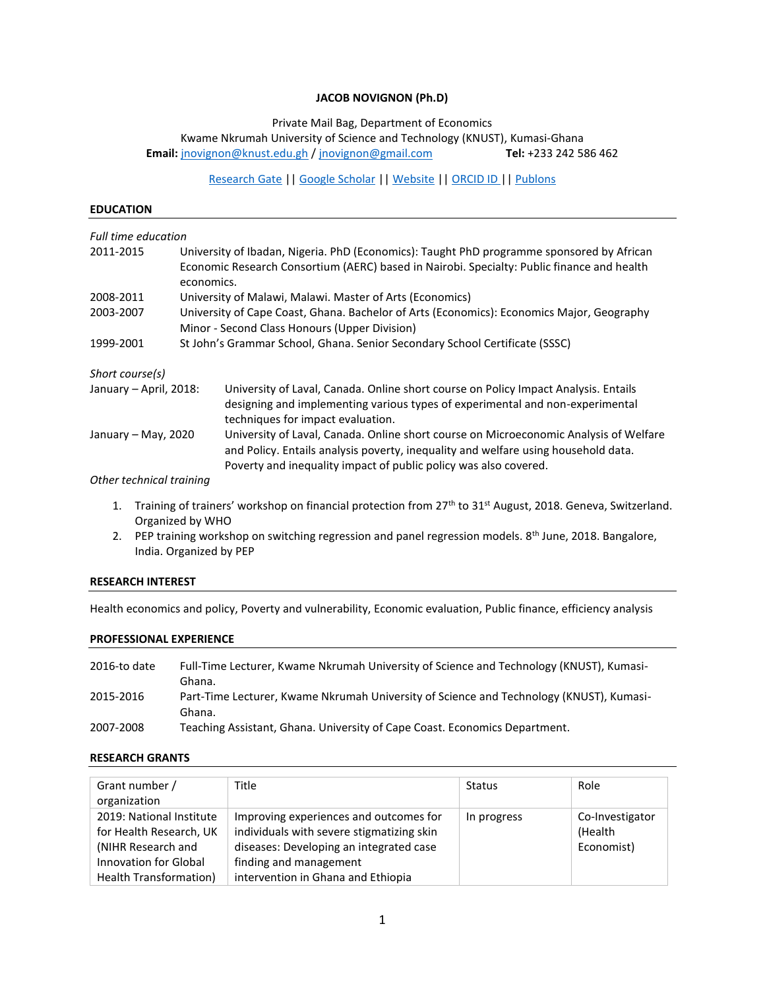## **JACOB NOVIGNON (Ph.D)**

Private Mail Bag, Department of Economics Kwame Nkrumah University of Science and Technology (KNUST), Kumasi-Ghana **Email:** [jnovignon@knust.edu.gh](mailto:jnovignon@knust.edu.gh) [/ jnovignon@gmail.com](mailto:jnovignon@gmail.com) **Tel:** +233 242 586 462

# [Research Gate](https://www.researchgate.net/profile/Jacob-Novignon) |[| Google Scholar](https://scholar.google.com/citations?user=lLeou5kAAAAJ&hl=en) |[| Website](https://webapps.knust.edu.gh/staff/dirsearch/profile/summary/3c2ff86b3461.html) |[| ORCID ID](https://orcid.org/0000-0002-4718-9328) |[| Publons](https://publons.com/researcher/1274934/jacob-novignon/)

## **EDUCATION**

| <b>Full time education</b> |                                                                                                                                            |                                                                                                                                                                                                                                                 |  |  |  |
|----------------------------|--------------------------------------------------------------------------------------------------------------------------------------------|-------------------------------------------------------------------------------------------------------------------------------------------------------------------------------------------------------------------------------------------------|--|--|--|
| 2011-2015                  |                                                                                                                                            | University of Ibadan, Nigeria. PhD (Economics): Taught PhD programme sponsored by African<br>Economic Research Consortium (AERC) based in Nairobi. Specialty: Public finance and health<br>economics.                                           |  |  |  |
| 2008-2011                  |                                                                                                                                            | University of Malawi, Malawi. Master of Arts (Economics)                                                                                                                                                                                        |  |  |  |
| 2003-2007                  | University of Cape Coast, Ghana. Bachelor of Arts (Economics): Economics Major, Geography<br>Minor - Second Class Honours (Upper Division) |                                                                                                                                                                                                                                                 |  |  |  |
| 1999-2001                  |                                                                                                                                            | St John's Grammar School, Ghana. Senior Secondary School Certificate (SSSC)                                                                                                                                                                     |  |  |  |
| Short course(s)            |                                                                                                                                            |                                                                                                                                                                                                                                                 |  |  |  |
| January - April, 2018:     |                                                                                                                                            | University of Laval, Canada. Online short course on Policy Impact Analysis. Entails<br>designing and implementing various types of experimental and non-experimental<br>techniques for impact evaluation.                                       |  |  |  |
| January - May, 2020        |                                                                                                                                            | University of Laval, Canada. Online short course on Microeconomic Analysis of Welfare<br>and Policy. Entails analysis poverty, inequality and welfare using household data.<br>Poverty and inequality impact of public policy was also covered. |  |  |  |
|                            |                                                                                                                                            |                                                                                                                                                                                                                                                 |  |  |  |

*Other technical training* 

- 1. Training of trainers' workshop on financial protection from 27<sup>th</sup> to 31<sup>st</sup> August, 2018. Geneva, Switzerland. Organized by WHO
- 2. PEP training workshop on switching regression and panel regression models. 8<sup>th</sup> June, 2018. Bangalore, India. Organized by PEP

#### **RESEARCH INTEREST**

Health economics and policy, Poverty and vulnerability, Economic evaluation, Public finance, efficiency analysis

## **PROFESSIONAL EXPERIENCE**

| 2016-to date | Full-Time Lecturer, Kwame Nkrumah University of Science and Technology (KNUST), Kumasi- |
|--------------|-----------------------------------------------------------------------------------------|
|              | Ghana.                                                                                  |
| 2015-2016    | Part-Time Lecturer, Kwame Nkrumah University of Science and Technology (KNUST), Kumasi- |
|              | Ghana.                                                                                  |
| 2007-2008    | Teaching Assistant, Ghana. University of Cape Coast. Economics Department.              |

#### **RESEARCH GRANTS**

| Grant number /<br>organization                                                                                               | Title                                                                                                                                                                                          | <b>Status</b> | Role                                     |
|------------------------------------------------------------------------------------------------------------------------------|------------------------------------------------------------------------------------------------------------------------------------------------------------------------------------------------|---------------|------------------------------------------|
| 2019: National Institute<br>for Health Research, UK<br>(NIHR Research and<br>Innovation for Global<br>Health Transformation) | Improving experiences and outcomes for<br>individuals with severe stigmatizing skin<br>diseases: Developing an integrated case<br>finding and management<br>intervention in Ghana and Ethiopia | In progress   | Co-Investigator<br>(Health<br>Economist) |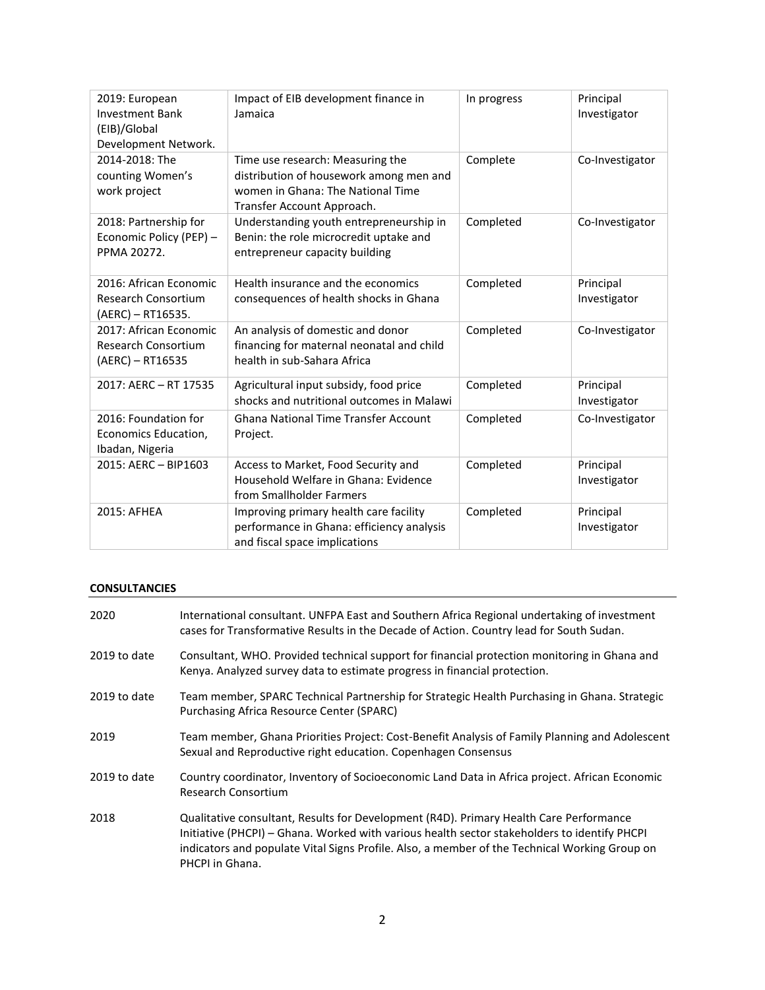| 2019: European<br><b>Investment Bank</b><br>(EIB)/Global<br>Development Network. | Impact of EIB development finance in<br>Jamaica                                                                                                | In progress | Principal<br>Investigator |
|----------------------------------------------------------------------------------|------------------------------------------------------------------------------------------------------------------------------------------------|-------------|---------------------------|
| 2014-2018: The<br>counting Women's<br>work project                               | Time use research: Measuring the<br>distribution of housework among men and<br>women in Ghana: The National Time<br>Transfer Account Approach. | Complete    | Co-Investigator           |
| 2018: Partnership for<br>Economic Policy (PEP) -<br>PPMA 20272.                  | Understanding youth entrepreneurship in<br>Benin: the role microcredit uptake and<br>entrepreneur capacity building                            | Completed   | Co-Investigator           |
| 2016: African Economic<br><b>Research Consortium</b><br>(AERC) - RT16535.        | Health insurance and the economics<br>consequences of health shocks in Ghana                                                                   | Completed   | Principal<br>Investigator |
| 2017: African Economic<br><b>Research Consortium</b><br>(AERC) - RT16535         | An analysis of domestic and donor<br>financing for maternal neonatal and child<br>health in sub-Sahara Africa                                  | Completed   | Co-Investigator           |
| 2017: AERC - RT 17535                                                            | Agricultural input subsidy, food price<br>shocks and nutritional outcomes in Malawi                                                            | Completed   | Principal<br>Investigator |
| 2016: Foundation for<br>Economics Education,<br>Ibadan, Nigeria                  | <b>Ghana National Time Transfer Account</b><br>Project.                                                                                        | Completed   | Co-Investigator           |
| 2015: AERC - BIP1603                                                             | Access to Market, Food Security and<br>Household Welfare in Ghana: Evidence<br>from Smallholder Farmers                                        | Completed   | Principal<br>Investigator |
| 2015: AFHEA                                                                      | Improving primary health care facility<br>performance in Ghana: efficiency analysis<br>and fiscal space implications                           | Completed   | Principal<br>Investigator |

# **CONSULTANCIES**

| 2020         | International consultant. UNFPA East and Southern Africa Regional undertaking of investment<br>cases for Transformative Results in the Decade of Action. Country lead for South Sudan.                                                                                                                     |
|--------------|------------------------------------------------------------------------------------------------------------------------------------------------------------------------------------------------------------------------------------------------------------------------------------------------------------|
| 2019 to date | Consultant, WHO. Provided technical support for financial protection monitoring in Ghana and<br>Kenya. Analyzed survey data to estimate progress in financial protection.                                                                                                                                  |
| 2019 to date | Team member, SPARC Technical Partnership for Strategic Health Purchasing in Ghana. Strategic<br>Purchasing Africa Resource Center (SPARC)                                                                                                                                                                  |
| 2019         | Team member, Ghana Priorities Project: Cost-Benefit Analysis of Family Planning and Adolescent<br>Sexual and Reproductive right education. Copenhagen Consensus                                                                                                                                            |
| 2019 to date | Country coordinator, Inventory of Socioeconomic Land Data in Africa project. African Economic<br><b>Research Consortium</b>                                                                                                                                                                                |
| 2018         | Qualitative consultant, Results for Development (R4D). Primary Health Care Performance<br>Initiative (PHCPI) - Ghana. Worked with various health sector stakeholders to identify PHCPI<br>indicators and populate Vital Signs Profile. Also, a member of the Technical Working Group on<br>PHCPI in Ghana. |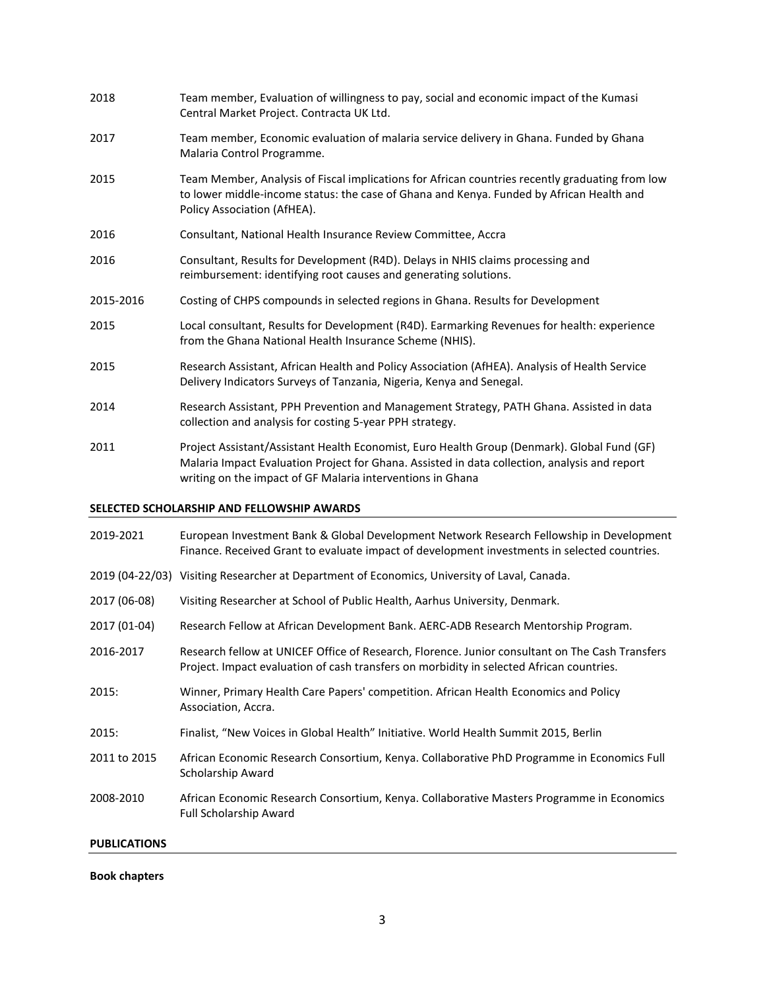| 2018      | Team member, Evaluation of willingness to pay, social and economic impact of the Kumasi<br>Central Market Project. Contracta UK Ltd.                                                                                       |
|-----------|----------------------------------------------------------------------------------------------------------------------------------------------------------------------------------------------------------------------------|
| 2017      | Team member, Economic evaluation of malaria service delivery in Ghana. Funded by Ghana<br>Malaria Control Programme.                                                                                                       |
| 2015      | Team Member, Analysis of Fiscal implications for African countries recently graduating from low<br>to lower middle-income status: the case of Ghana and Kenya. Funded by African Health and<br>Policy Association (AfHEA). |
| 2016      | Consultant, National Health Insurance Review Committee, Accra                                                                                                                                                              |
| 2016      | Consultant, Results for Development (R4D). Delays in NHIS claims processing and<br>reimbursement: identifying root causes and generating solutions.                                                                        |
| 2015-2016 | Costing of CHPS compounds in selected regions in Ghana. Results for Development                                                                                                                                            |
| 2015      | Local consultant, Results for Development (R4D). Earmarking Revenues for health: experience<br>from the Ghana National Health Insurance Scheme (NHIS).                                                                     |
| 2015      | Research Assistant, African Health and Policy Association (AfHEA). Analysis of Health Service<br>Delivery Indicators Surveys of Tanzania, Nigeria, Kenya and Senegal.                                                      |
| 2014      | Research Assistant, PPH Prevention and Management Strategy, PATH Ghana. Assisted in data<br>collection and analysis for costing 5-year PPH strategy.                                                                       |
| 2011      | Project Assistant/Assistant Health Economist, Euro Health Group (Denmark). Global Fund (GF)<br>Malaria Impact Evaluation Project for Ghana. Assisted in data collection, analysis and report                               |

writing on the impact of GF Malaria interventions in Ghana

# **SELECTED SCHOLARSHIP AND FELLOWSHIP AWARDS**

| 2019-2021           | European Investment Bank & Global Development Network Research Fellowship in Development<br>Finance. Received Grant to evaluate impact of development investments in selected countries.    |
|---------------------|---------------------------------------------------------------------------------------------------------------------------------------------------------------------------------------------|
|                     | 2019 (04-22/03) Visiting Researcher at Department of Economics, University of Laval, Canada.                                                                                                |
| 2017 (06-08)        | Visiting Researcher at School of Public Health, Aarhus University, Denmark.                                                                                                                 |
| 2017 (01-04)        | Research Fellow at African Development Bank. AERC-ADB Research Mentorship Program.                                                                                                          |
| 2016-2017           | Research fellow at UNICEF Office of Research, Florence. Junior consultant on The Cash Transfers<br>Project. Impact evaluation of cash transfers on morbidity in selected African countries. |
| 2015:               | Winner, Primary Health Care Papers' competition. African Health Economics and Policy<br>Association, Accra.                                                                                 |
| 2015:               | Finalist, "New Voices in Global Health" Initiative. World Health Summit 2015, Berlin                                                                                                        |
| 2011 to 2015        | African Economic Research Consortium, Kenya. Collaborative PhD Programme in Economics Full<br>Scholarship Award                                                                             |
| 2008-2010           | African Economic Research Consortium, Kenya. Collaborative Masters Programme in Economics<br><b>Full Scholarship Award</b>                                                                  |
| <b>PUBLICATIONS</b> |                                                                                                                                                                                             |

# **Book chapters**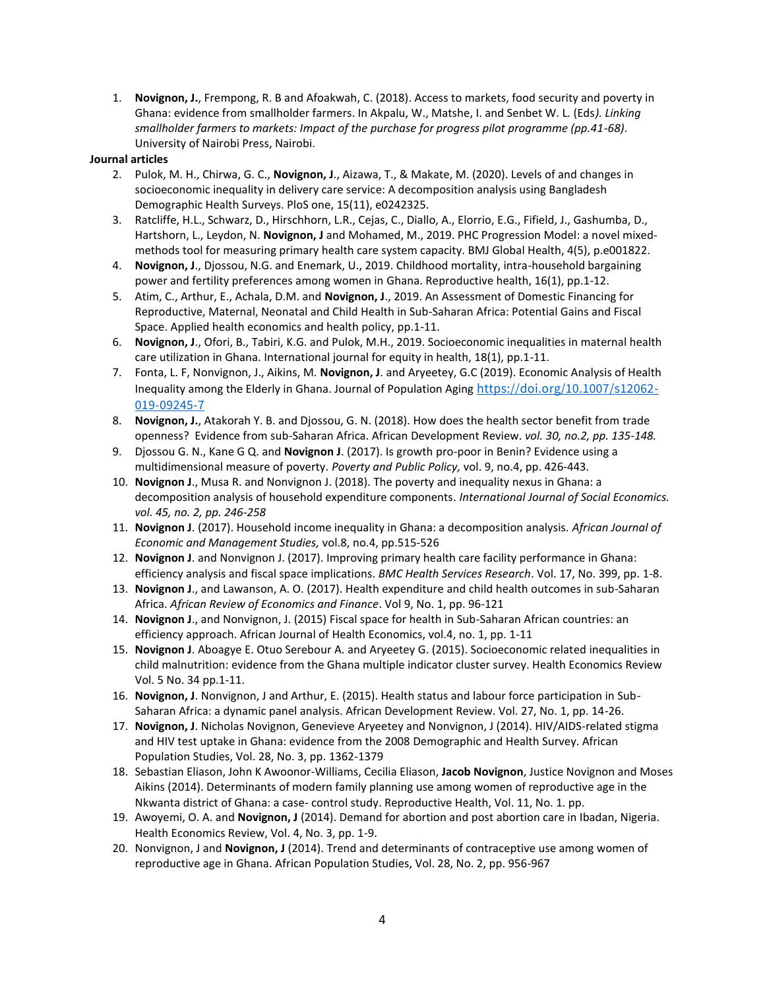1. **Novignon, J.**, Frempong, R. B and Afoakwah, C. (2018). Access to markets, food security and poverty in Ghana: evidence from smallholder farmers. In Akpalu, W., Matshe, I. and Senbet W. L. (Eds*). Linking smallholder farmers to markets: Impact of the purchase for progress pilot programme (pp.41-68)*. University of Nairobi Press, Nairobi.

## **Journal articles**

- 2. Pulok, M. H., Chirwa, G. C., **Novignon, J**., Aizawa, T., & Makate, M. (2020). Levels of and changes in socioeconomic inequality in delivery care service: A decomposition analysis using Bangladesh Demographic Health Surveys. PloS one, 15(11), e0242325.
- 3. Ratcliffe, H.L., Schwarz, D., Hirschhorn, L.R., Cejas, C., Diallo, A., Elorrio, E.G., Fifield, J., Gashumba, D., Hartshorn, L., Leydon, N. **Novignon, J** and Mohamed, M., 2019. PHC Progression Model: a novel mixedmethods tool for measuring primary health care system capacity. BMJ Global Health, 4(5), p.e001822.
- 4. **Novignon, J**., Djossou, N.G. and Enemark, U., 2019. Childhood mortality, intra-household bargaining power and fertility preferences among women in Ghana. Reproductive health, 16(1), pp.1-12.
- 5. Atim, C., Arthur, E., Achala, D.M. and **Novignon, J**., 2019. An Assessment of Domestic Financing for Reproductive, Maternal, Neonatal and Child Health in Sub-Saharan Africa: Potential Gains and Fiscal Space. Applied health economics and health policy, pp.1-11.
- 6. **Novignon, J**., Ofori, B., Tabiri, K.G. and Pulok, M.H., 2019. Socioeconomic inequalities in maternal health care utilization in Ghana. International journal for equity in health, 18(1), pp.1-11.
- 7. Fonta, L. F, Nonvignon, J., Aikins, M. **Novignon, J**. and Aryeetey, G.C (2019). Economic Analysis of Health Inequality among the Elderly in Ghana. Journal of Population Aging [https://doi.org/10.1007/s12062-](https://doi.org/10.1007/s12062-019-09245-7) [019-09245-7](https://doi.org/10.1007/s12062-019-09245-7)
- 8. **Novignon, J.**, Atakorah Y. B. and Djossou, G. N. (2018). How does the health sector benefit from trade openness? Evidence from sub-Saharan Africa. African Development Review. *vol. 30, no.2, pp. 135-148.*
- 9. Djossou G. N., Kane G Q. and **Novignon J**. (2017). Is growth pro-poor in Benin? Evidence using a multidimensional measure of poverty. *Poverty and Public Policy,* vol. 9, no.4, pp. 426-443*.*
- 10. **Novignon J**., Musa R. and Nonvignon J. (2018). The poverty and inequality nexus in Ghana: a decomposition analysis of household expenditure components. *International Journal of Social Economics. vol. 45, no. 2, pp. 246-258*
- 11. **Novignon J**. (2017). Household income inequality in Ghana: a decomposition analysis. *African Journal of Economic and Management Studies,* vol.8, no.4, pp.515-526
- 12. **Novignon J**. and Nonvignon J. (2017). Improving primary health care facility performance in Ghana: efficiency analysis and fiscal space implications. *BMC Health Services Research*. Vol. 17, No. 399, pp. 1-8.
- 13. **Novignon J**., and Lawanson, A. O. (2017). Health expenditure and child health outcomes in sub-Saharan Africa. *African Review of Economics and Finance*. Vol 9, No. 1, pp. 96-121
- 14. **Novignon J**., and Nonvignon, J. (2015) Fiscal space for health in Sub-Saharan African countries: an efficiency approach. African Journal of Health Economics, vol.4, no. 1, pp. 1-11
- 15. **Novignon J**. Aboagye E. Otuo Serebour A. and Aryeetey G. (2015). Socioeconomic related inequalities in child malnutrition: evidence from the Ghana multiple indicator cluster survey. Health Economics Review Vol. 5 No. 34 pp.1-11.
- 16. **Novignon, J**. Nonvignon, J and Arthur, E. (2015). Health status and labour force participation in Sub-Saharan Africa: a dynamic panel analysis. African Development Review. Vol. 27, No. 1, pp. 14-26.
- 17. **Novignon, J**. Nicholas Novignon, Genevieve Aryeetey and Nonvignon, J (2014). HIV/AIDS-related stigma and HIV test uptake in Ghana: evidence from the 2008 Demographic and Health Survey. African Population Studies, Vol. 28, No. 3, pp. 1362-1379
- 18. Sebastian Eliason, John K Awoonor-Williams, Cecilia Eliason, **Jacob Novignon**, Justice Novignon and Moses Aikins (2014). Determinants of modern family planning use among women of reproductive age in the Nkwanta district of Ghana: a case- control study. Reproductive Health, Vol. 11, No. 1. pp.
- 19. Awoyemi, O. A. and **Novignon, J** (2014). Demand for abortion and post abortion care in Ibadan, Nigeria. Health Economics Review, Vol. 4, No. 3, pp. 1-9.
- 20. Nonvignon, J and **Novignon, J** (2014). Trend and determinants of contraceptive use among women of reproductive age in Ghana. African Population Studies, Vol. 28, No. 2, pp. 956-967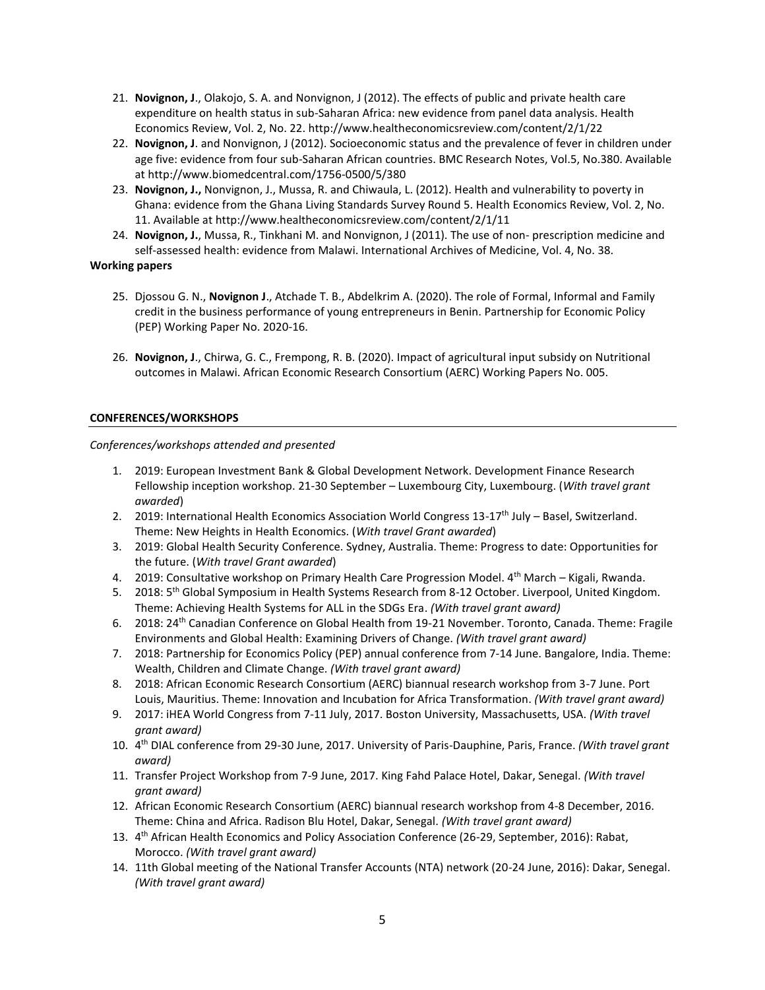- 21. **Novignon, J**., Olakojo, S. A. and Nonvignon, J (2012). The effects of public and private health care expenditure on health status in sub-Saharan Africa: new evidence from panel data analysis. Health Economics Review, Vol. 2, No. 22. http://www.healtheconomicsreview.com/content/2/1/22
- 22. **Novignon, J**. and Nonvignon, J (2012). Socioeconomic status and the prevalence of fever in children under age five: evidence from four sub-Saharan African countries. BMC Research Notes, Vol.5, No.380. Available at http://www.biomedcentral.com/1756-0500/5/380
- 23. **Novignon, J.,** Nonvignon, J., Mussa, R. and Chiwaula, L. (2012). Health and vulnerability to poverty in Ghana: evidence from the Ghana Living Standards Survey Round 5. Health Economics Review, Vol. 2, No. 11. Available at http://www.healtheconomicsreview.com/content/2/1/11
- 24. **Novignon, J.**, Mussa, R., Tinkhani M. and Nonvignon, J (2011). The use of non- prescription medicine and self-assessed health: evidence from Malawi. International Archives of Medicine, Vol. 4, No. 38.

## **Working papers**

- 25. Djossou G. N., **Novignon J**., Atchade T. B., Abdelkrim A. (2020). The role of Formal, Informal and Family credit in the business performance of young entrepreneurs in Benin. Partnership for Economic Policy (PEP) Working Paper No. 2020-16.
- 26. **Novignon, J**., Chirwa, G. C., Frempong, R. B. (2020). Impact of agricultural input subsidy on Nutritional outcomes in Malawi. African Economic Research Consortium (AERC) Working Papers No. 005.

## **CONFERENCES/WORKSHOPS**

*Conferences/workshops attended and presented* 

- 1. 2019: European Investment Bank & Global Development Network. Development Finance Research Fellowship inception workshop. 21-30 September – Luxembourg City, Luxembourg. (*With travel grant awarded*)
- 2. 2019: International Health Economics Association World Congress 13-17<sup>th</sup> July Basel, Switzerland. Theme: New Heights in Health Economics. (*With travel Grant awarded*)
- 3. 2019: Global Health Security Conference. Sydney, Australia. Theme: Progress to date: Opportunities for the future. (*With travel Grant awarded*)
- 4. 2019: Consultative workshop on Primary Health Care Progression Model. 4<sup>th</sup> March Kigali, Rwanda.
- 5. 2018: 5<sup>th</sup> Global Symposium in Health Systems Research from 8-12 October. Liverpool, United Kingdom. Theme: Achieving Health Systems for ALL in the SDGs Era. *(With travel grant award)*
- 6. 2018: 24th Canadian Conference on Global Health from 19-21 November. Toronto, Canada. Theme: Fragile Environments and Global Health: Examining Drivers of Change. *(With travel grant award)*
- 7. 2018: Partnership for Economics Policy (PEP) annual conference from 7-14 June. Bangalore, India. Theme: Wealth, Children and Climate Change. *(With travel grant award)*
- 8. 2018: African Economic Research Consortium (AERC) biannual research workshop from 3-7 June. Port Louis, Mauritius. Theme: Innovation and Incubation for Africa Transformation. *(With travel grant award)*
- 9. 2017: iHEA World Congress from 7-11 July, 2017. Boston University, Massachusetts, USA. *(With travel grant award)*
- 10. 4 th DIAL conference from 29-30 June, 2017. University of Paris-Dauphine, Paris, France. *(With travel grant award)*
- 11. Transfer Project Workshop from 7-9 June, 2017. King Fahd Palace Hotel, Dakar, Senegal. *(With travel grant award)*
- 12. African Economic Research Consortium (AERC) biannual research workshop from 4-8 December, 2016. Theme: China and Africa. Radison Blu Hotel, Dakar, Senegal. *(With travel grant award)*
- 13. 4<sup>th</sup> African Health Economics and Policy Association Conference (26-29, September, 2016): Rabat, Morocco. *(With travel grant award)*
- 14. 11th Global meeting of the National Transfer Accounts (NTA) network (20-24 June, 2016): Dakar, Senegal. *(With travel grant award)*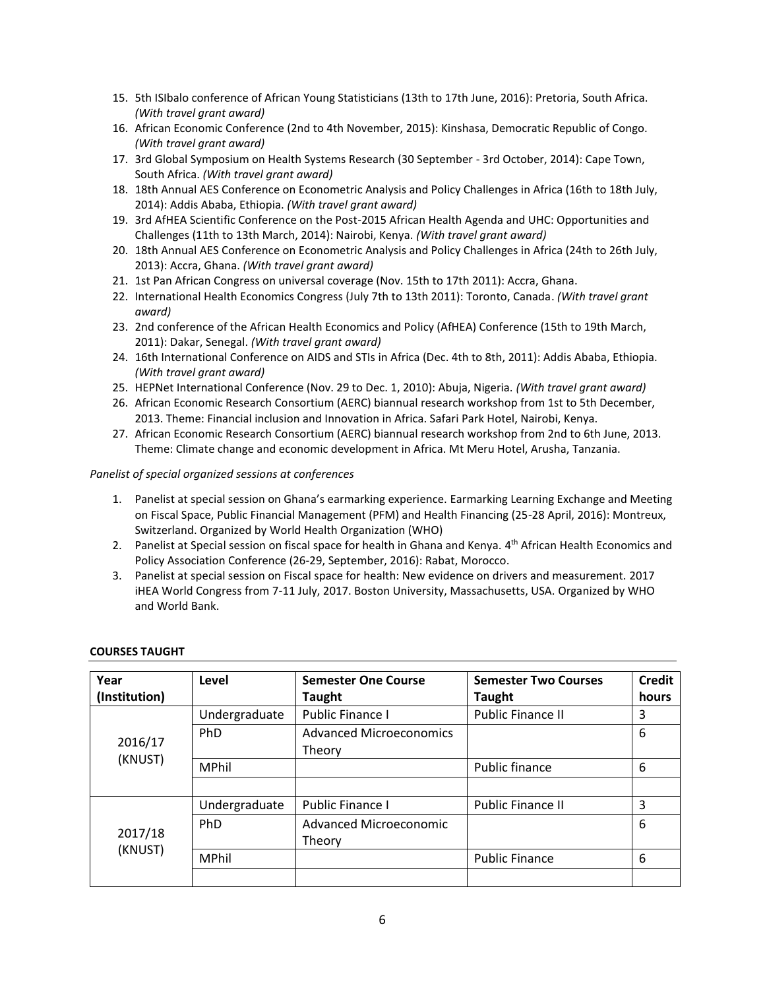- 15. 5th ISIbalo conference of African Young Statisticians (13th to 17th June, 2016): Pretoria, South Africa. *(With travel grant award)*
- 16. African Economic Conference (2nd to 4th November, 2015): Kinshasa, Democratic Republic of Congo. *(With travel grant award)*
- 17. 3rd Global Symposium on Health Systems Research (30 September 3rd October, 2014): Cape Town, South Africa. *(With travel grant award)*
- 18. 18th Annual AES Conference on Econometric Analysis and Policy Challenges in Africa (16th to 18th July, 2014): Addis Ababa, Ethiopia. *(With travel grant award)*
- 19. 3rd AfHEA Scientific Conference on the Post-2015 African Health Agenda and UHC: Opportunities and Challenges (11th to 13th March, 2014): Nairobi, Kenya. *(With travel grant award)*
- 20. 18th Annual AES Conference on Econometric Analysis and Policy Challenges in Africa (24th to 26th July, 2013): Accra, Ghana. *(With travel grant award)*
- 21. 1st Pan African Congress on universal coverage (Nov. 15th to 17th 2011): Accra, Ghana.
- 22. International Health Economics Congress (July 7th to 13th 2011): Toronto, Canada. *(With travel grant award)*
- 23. 2nd conference of the African Health Economics and Policy (AfHEA) Conference (15th to 19th March, 2011): Dakar, Senegal. *(With travel grant award)*
- 24. 16th International Conference on AIDS and STIs in Africa (Dec. 4th to 8th, 2011): Addis Ababa, Ethiopia. *(With travel grant award)*
- 25. HEPNet International Conference (Nov. 29 to Dec. 1, 2010): Abuja, Nigeria. *(With travel grant award)*
- 26. African Economic Research Consortium (AERC) biannual research workshop from 1st to 5th December, 2013. Theme: Financial inclusion and Innovation in Africa. Safari Park Hotel, Nairobi, Kenya.
- 27. African Economic Research Consortium (AERC) biannual research workshop from 2nd to 6th June, 2013. Theme: Climate change and economic development in Africa. Mt Meru Hotel, Arusha, Tanzania.

## *Panelist of special organized sessions at conferences*

- 1. Panelist at special session on Ghana's earmarking experience. Earmarking Learning Exchange and Meeting on Fiscal Space, Public Financial Management (PFM) and Health Financing (25-28 April, 2016): Montreux, Switzerland. Organized by World Health Organization (WHO)
- 2. Panelist at Special session on fiscal space for health in Ghana and Kenya. 4<sup>th</sup> African Health Economics and Policy Association Conference (26-29, September, 2016): Rabat, Morocco.
- 3. Panelist at special session on Fiscal space for health: New evidence on drivers and measurement. 2017 iHEA World Congress from 7-11 July, 2017. Boston University, Massachusetts, USA. Organized by WHO and World Bank.

| Year<br>(Institution) | Level         | <b>Semester One Course</b><br><b>Taught</b> | <b>Semester Two Courses</b><br><b>Taught</b> | <b>Credit</b><br>hours |
|-----------------------|---------------|---------------------------------------------|----------------------------------------------|------------------------|
|                       | Undergraduate | <b>Public Finance I</b>                     | <b>Public Finance II</b>                     | 3                      |
| 2016/17               | <b>PhD</b>    | <b>Advanced Microeconomics</b><br>Theory    |                                              | 6                      |
| (KNUST)               | <b>MPhil</b>  |                                             | Public finance                               | 6                      |
|                       |               |                                             |                                              |                        |
|                       | Undergraduate | <b>Public Finance I</b>                     | Public Finance II                            | 3                      |
| 2017/18               | <b>PhD</b>    | <b>Advanced Microeconomic</b><br>Theory     |                                              | 6                      |
| (KNUST)               | <b>MPhil</b>  |                                             | <b>Public Finance</b>                        | 6                      |
|                       |               |                                             |                                              |                        |

#### **COURSES TAUGHT**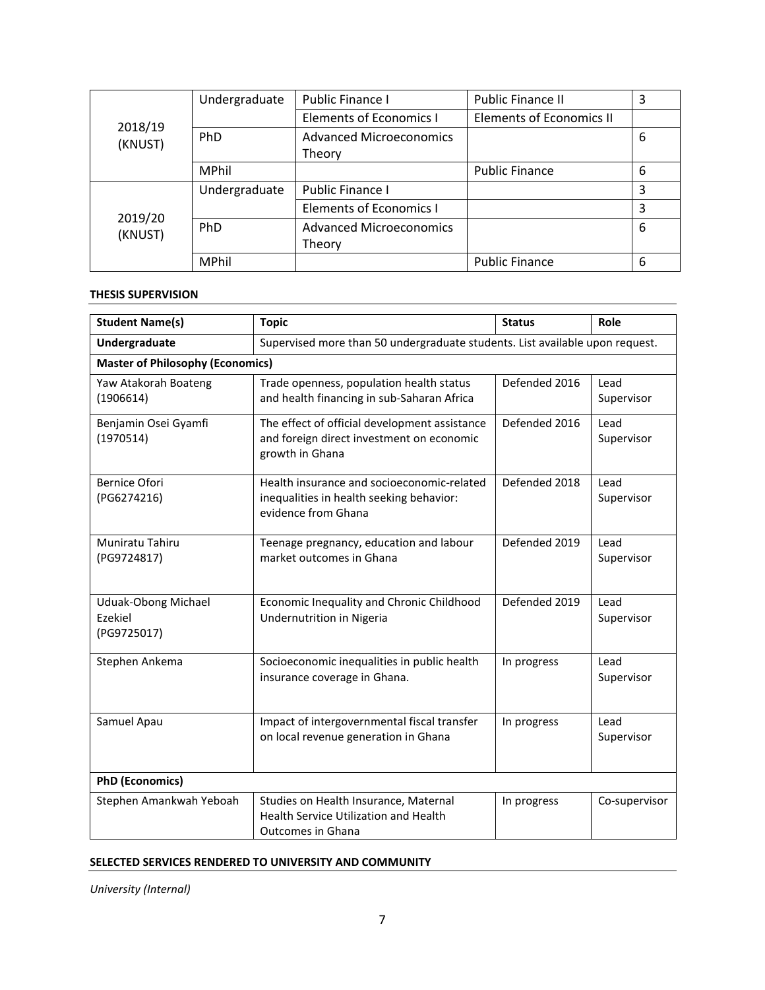| 2018/19            | Undergraduate | Public Finance I               | Public Finance II               | 3 |
|--------------------|---------------|--------------------------------|---------------------------------|---|
|                    |               | <b>Elements of Economics I</b> | <b>Elements of Economics II</b> |   |
| (KNUST)            | PhD           | <b>Advanced Microeconomics</b> |                                 | 6 |
|                    |               | Theory                         |                                 |   |
|                    | <b>MPhil</b>  |                                | <b>Public Finance</b>           | 6 |
| 2019/20<br>(KNUST) | Undergraduate | Public Finance I               |                                 | 3 |
|                    |               | <b>Elements of Economics I</b> |                                 | 3 |
|                    | PhD           | <b>Advanced Microeconomics</b> |                                 | 6 |
|                    |               | Theory                         |                                 |   |
|                    | <b>MPhil</b>  |                                | <b>Public Finance</b>           | 6 |

# **THESIS SUPERVISION**

| <b>Student Name(s)</b>                                                                        | <b>Topic</b>                                                                                                      | <b>Status</b> | Role               |
|-----------------------------------------------------------------------------------------------|-------------------------------------------------------------------------------------------------------------------|---------------|--------------------|
| Supervised more than 50 undergraduate students. List available upon request.<br>Undergraduate |                                                                                                                   |               |                    |
| <b>Master of Philosophy (Economics)</b>                                                       |                                                                                                                   |               |                    |
| Yaw Atakorah Boateng<br>(1906614)                                                             | Trade openness, population health status<br>and health financing in sub-Saharan Africa                            | Defended 2016 | Lead<br>Supervisor |
| Benjamin Osei Gyamfi<br>(1970514)                                                             | The effect of official development assistance<br>and foreign direct investment on economic<br>growth in Ghana     | Defended 2016 | Lead<br>Supervisor |
| <b>Bernice Ofori</b><br>(PG6274216)                                                           | Health insurance and socioeconomic-related<br>inequalities in health seeking behavior:<br>evidence from Ghana     | Defended 2018 | Lead<br>Supervisor |
| Muniratu Tahiru<br>(PG9724817)                                                                | Teenage pregnancy, education and labour<br>market outcomes in Ghana                                               | Defended 2019 | Lead<br>Supervisor |
| <b>Uduak-Obong Michael</b><br>Ezekiel<br>(PG9725017)                                          | Economic Inequality and Chronic Childhood<br>Undernutrition in Nigeria                                            | Defended 2019 | Lead<br>Supervisor |
| Stephen Ankema                                                                                | Socioeconomic inequalities in public health<br>insurance coverage in Ghana.                                       | In progress   | Lead<br>Supervisor |
| Samuel Apau                                                                                   | Impact of intergovernmental fiscal transfer<br>on local revenue generation in Ghana                               | In progress   | Lead<br>Supervisor |
| <b>PhD (Economics)</b>                                                                        |                                                                                                                   |               |                    |
| Stephen Amankwah Yeboah                                                                       | Studies on Health Insurance, Maternal<br><b>Health Service Utilization and Health</b><br><b>Outcomes in Ghana</b> | In progress   | Co-supervisor      |

# **SELECTED SERVICES RENDERED TO UNIVERSITY AND COMMUNITY**

*University (Internal)*